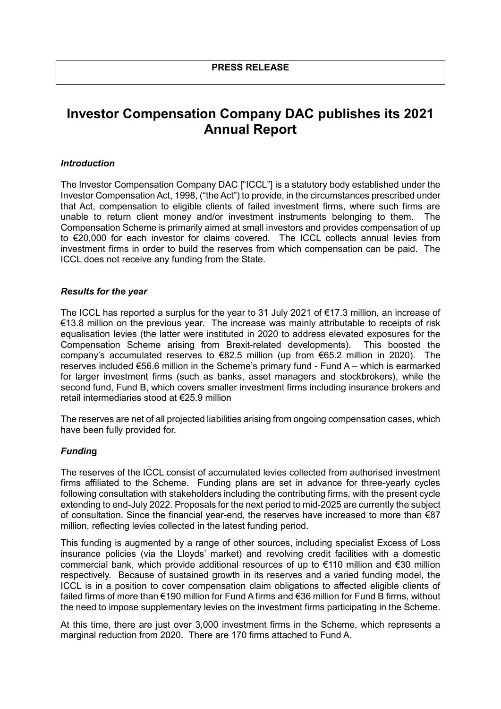# **Investor Compensation Company DAC publishes its 2021 Annual Report**

#### *Introduction*

The Investor Compensation Company DAC ["ICCL"] is a statutory body established under the Investor Compensation Act, 1998, ("the Act") to provide, in the circumstances prescribed under that Act, compensation to eligible clients of failed investment firms, where such firms are unable to return client money and/or investment instruments belonging to them. The Compensation Scheme is primarily aimed at small investors and provides compensation of up to €20,000 for each investor for claims covered. The ICCL collects annual levies from investment firms in order to build the reserves from which compensation can be paid. The ICCL does not receive any funding from the State.

#### *Results for the year*

The ICCL has reported a surplus for the year to 31 July 2021 of €17.3 million, an increase of €13.8 million on the previous year. The increase was mainly attributable to receipts of risk equalisation levies (the latter were instituted in 2020 to address elevated exposures for the Compensation Scheme arising from Brexit-related developments). This boosted the company's accumulated reserves to €82.5 million (up from €65.2 million in 2020). The reserves included €56.6 million in the Scheme's primary fund - Fund A – which is earmarked for larger investment firms (such as banks, asset managers and stockbrokers), while the second fund, Fund B, which covers smaller investment firms including insurance brokers and retail intermediaries stood at €25.9 million

The reserves are net of all projected liabilities arising from ongoing compensation cases, which have been fully provided for.

#### *Fundin***g**

The reserves of the ICCL consist of accumulated levies collected from authorised investment firms affiliated to the Scheme. Funding plans are set in advance for three-yearly cycles following consultation with stakeholders including the contributing firms, with the present cycle extending to end-July 2022. Proposals for the next period to mid-2025 are currently the subject of consultation. Since the financial year-end, the reserves have increased to more than €87 million, reflecting levies collected in the latest funding period.

This funding is augmented by a range of other sources, including specialist Excess of Loss insurance policies (via the Lloyds' market) and revolving credit facilities with a domestic commercial bank, which provide additional resources of up to €110 million and €30 million respectively. Because of sustained growth in its reserves and a varied funding model, the ICCL is in a position to cover compensation claim obligations to affected eligible clients of failed firms of more than €190 million for Fund A firms and €36 million for Fund B firms, without the need to impose supplementary levies on the investment firms participating in the Scheme.

At this time, there are just over 3,000 investment firms in the Scheme, which represents a marginal reduction from 2020. There are 170 firms attached to Fund A.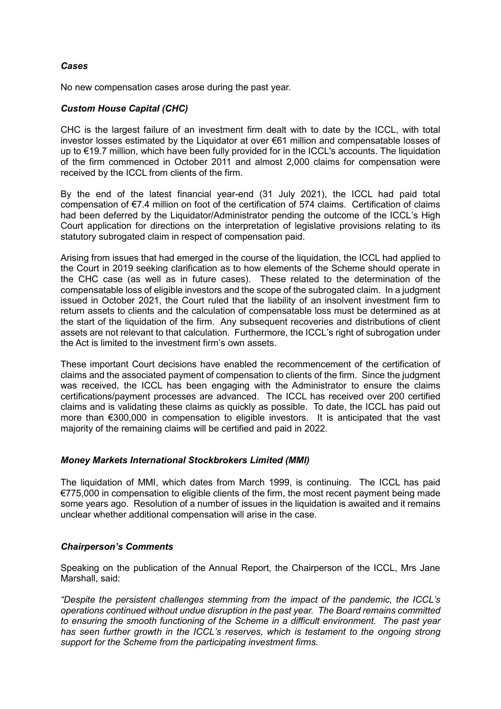## *Cases*

No new compensation cases arose during the past year.

## *Custom House Capital (CHC)*

CHC is the largest failure of an investment firm dealt with to date by the ICCL, with total investor losses estimated by the Liquidator at over €61 million and compensatable losses of up to €19.7 million, which have been fully provided for in the ICCL's accounts. The liquidation of the firm commenced in October 2011 and almost 2,000 claims for compensation were received by the ICCL from clients of the firm.

By the end of the latest financial year-end (31 July 2021), the ICCL had paid total compensation of €7.4 million on foot of the certification of 574 claims. Certification of claims had been deferred by the Liquidator/Administrator pending the outcome of the ICCL's High Court application for directions on the interpretation of legislative provisions relating to its statutory subrogated claim in respect of compensation paid.

Arising from issues that had emerged in the course of the liquidation, the ICCL had applied to the Court in 2019 seeking clarification as to how elements of the Scheme should operate in the CHC case (as well as in future cases). These related to the determination of the compensatable loss of eligible investors and the scope of the subrogated claim. In a judgment issued in October 2021, the Court ruled that the liability of an insolvent investment firm to return assets to clients and the calculation of compensatable loss must be determined as at the start of the liquidation of the firm. Any subsequent recoveries and distributions of client assets are not relevant to that calculation. Furthermore, the ICCL's right of subrogation under the Act is limited to the investment firm's own assets.

These important Court decisions have enabled the recommencement of the certification of claims and the associated payment of compensation to clients of the firm. Since the judgment was received, the ICCL has been engaging with the Administrator to ensure the claims certifications/payment processes are advanced. The ICCL has received over 200 certified claims and is validating these claims as quickly as possible. To date, the ICCL has paid out more than €300,000 in compensation to eligible investors. It is anticipated that the vast majority of the remaining claims will be certified and paid in 2022.

## *Money Markets International Stockbrokers Limited (MMI)*

The liquidation of MMI, which dates from March 1999, is continuing. The ICCL has paid €775,000 in compensation to eligible clients of the firm, the most recent payment being made some years ago. Resolution of a number of issues in the liquidation is awaited and it remains unclear whether additional compensation will arise in the case.

## *Chairperson's Comments*

Speaking on the publication of the Annual Report, the Chairperson of the ICCL, Mrs Jane Marshall, said:

*"Despite the persistent challenges stemming from the impact of the pandemic, the ICCL's operations continued without undue disruption in the past year. The Board remains committed to ensuring the smooth functioning of the Scheme in a difficult environment. The past year has seen further growth in the ICCL's reserves, which is testament to the ongoing strong support for the Scheme from the participating investment firms.*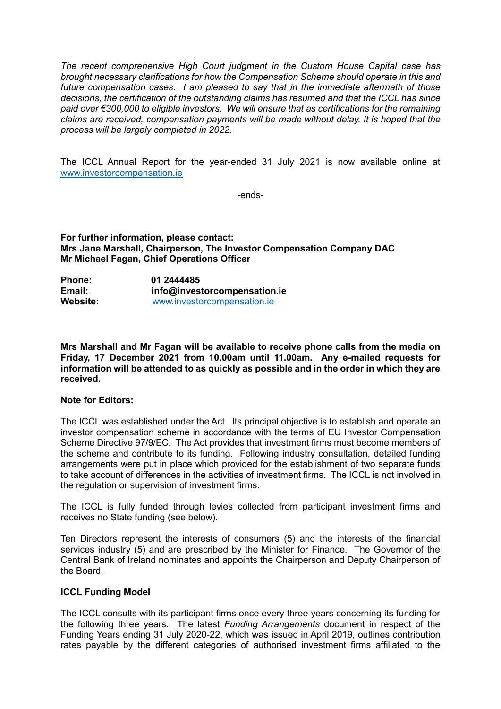*The recent comprehensive High Court judgment in the Custom House Capital case has brought necessary clarifications for how the Compensation Scheme should operate in this and future compensation cases. I am pleased to say that in the immediate aftermath of those decisions, the certification of the outstanding claims has resumed and that the ICCL has since paid over €300,000 to eligible investors. We will ensure that as certifications for the remaining claims are received, compensation payments will be made without delay. It is hoped that the process will be largely completed in 2022.* 

The ICCL Annual Report for the year-ended 31 July 2021 is now available online at [www.investorcompensation.ie](http://www.investorcompensation.ie/)

-ends-

**For further information, please contact: Mrs Jane Marshall, Chairperson, The Investor Compensation Company DAC Mr Michael Fagan, Chief Operations Officer**

| <b>Phone:</b>   | 01 2444485                   |
|-----------------|------------------------------|
| Email:          | info@investorcompensation.ie |
| <b>Website:</b> | www.investorcompensation.ie  |

**Mrs Marshall and Mr Fagan will be available to receive phone calls from the media on Friday, 17 December 2021 from 10.00am until 11.00am. Any e-mailed requests for information will be attended to as quickly as possible and in the order in which they are received.**

#### **Note for Editors:**

The ICCL was established under the Act. Its principal objective is to establish and operate an investor compensation scheme in accordance with the terms of EU Investor Compensation Scheme Directive 97/9/EC. The Act provides that investment firms must become members of the scheme and contribute to its funding. Following industry consultation, detailed funding arrangements were put in place which provided for the establishment of two separate funds to take account of differences in the activities of investment firms. The ICCL is not involved in the regulation or supervision of investment firms.

The ICCL is fully funded through levies collected from participant investment firms and receives no State funding (see below).

Ten Directors represent the interests of consumers (5) and the interests of the financial services industry (5) and are prescribed by the Minister for Finance. The Governor of the Central Bank of Ireland nominates and appoints the Chairperson and Deputy Chairperson of the Board.

## **ICCL Funding Model**

The ICCL consults with its participant firms once every three years concerning its funding for the following three years. The latest *Funding Arrangements* document in respect of the Funding Years ending 31 July 2020-22, which was issued in April 2019, outlines contribution rates payable by the different categories of authorised investment firms affiliated to the